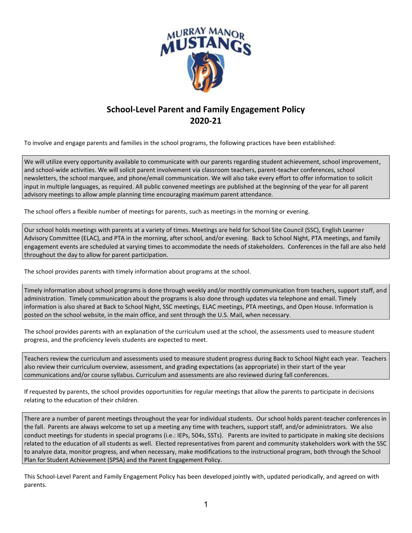

## **School-Level Parent and Family Engagement Policy 2020-21**

To involve and engage parents and families in the school programs, the following practices have been established:

We will utilize every opportunity available to communicate with our parents regarding student achievement, school improvement, and school-wide activities. We will solicit parent involvement via classroom teachers, parent-teacher conferences, school newsletters, the school marquee, and phone/email communication. We will also take every effort to offer information to solicit input in multiple languages, as required. All public convened meetings are published at the beginning of the year for all parent advisory meetings to allow ample planning time encouraging maximum parent attendance.

The school offers a flexible number of meetings for parents, such as meetings in the morning or evening.

Our school holds meetings with parents at a variety of times. Meetings are held for School Site Council (SSC), English Learner Advisory Committee (ELAC), and PTA in the morning, after school, and/or evening. Back to School Night, PTA meetings, and family engagement events are scheduled at varying times to accommodate the needs of stakeholders. Conferences in the fall are also held throughout the day to allow for parent participation.

The school provides parents with timely information about programs at the school.

Timely information about school programs is done through weekly and/or monthly communication from teachers, support staff, and administration. Timely communication about the programs is also done through updates via telephone and email. Timely information is also shared at Back to School Night, SSC meetings, ELAC meetings, PTA meetings, and Open House. Information is posted on the school website, in the main office, and sent through the U.S. Mail, when necessary.

The school provides parents with an explanation of the curriculum used at the school, the assessments used to measure student progress, and the proficiency levels students are expected to meet.

Teachers review the curriculum and assessments used to measure student progress during Back to School Night each year. Teachers also review their curriculum overview, assessment, and grading expectations (as appropriate) in their start of the year communications and/or course syllabus. Curriculum and assessments are also reviewed during fall conferences.

If requested by parents, the school provides opportunities for regular meetings that allow the parents to participate in decisions relating to the education of their children.

There are a number of parent meetings throughout the year for individual students. Our school holds parent-teacher conferences in the fall. Parents are always welcome to set up a meeting any time with teachers, support staff, and/or administrators. We also conduct meetings for students in special programs (i.e.: IEPs, 504s, SSTs). Parents are invited to participate in making site decisions related to the education of all students as well. Elected representatives from parent and community stakeholders work with the SSC to analyze data, monitor progress, and when necessary, make modifications to the instructional program, both through the School Plan for Student Achievement (SPSA) and the Parent Engagement Policy.

This School-Level Parent and Family Engagement Policy has been developed jointly with, updated periodically, and agreed on with parents.